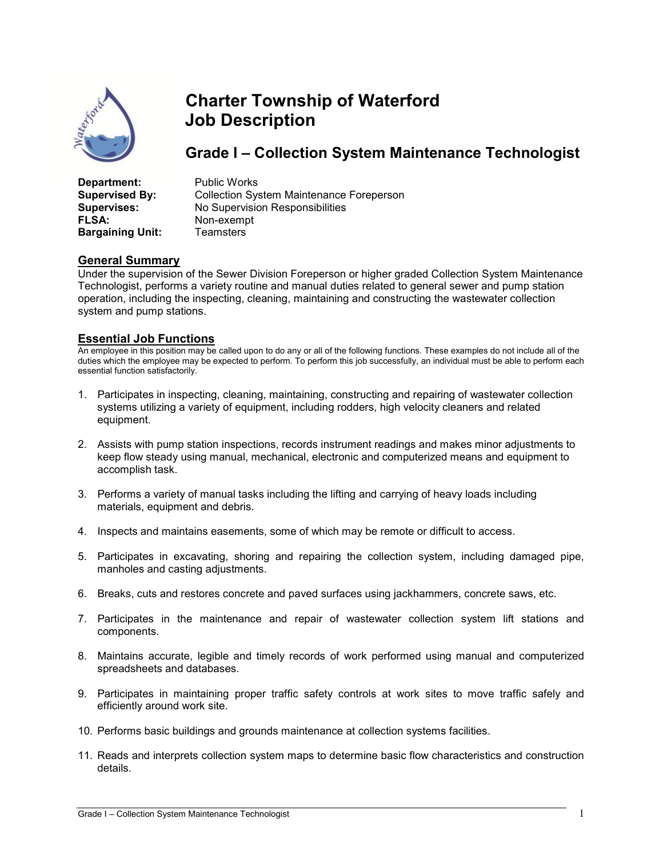

# Charter Township of Waterford Job Description

## Grade I – Collection System Maintenance Technologist

| Department:             | <b>Public Works</b>                             |
|-------------------------|-------------------------------------------------|
| <b>Supervised By:</b>   | <b>Collection System Maintenance Foreperson</b> |
| <b>Supervises:</b>      | No Supervision Responsibilities                 |
| <b>FLSA:</b>            | Non-exempt                                      |
| <b>Bargaining Unit:</b> | Teamsters                                       |

### General Summary

Under the supervision of the Sewer Division Foreperson or higher graded Collection System Maintenance Technologist, performs a variety routine and manual duties related to general sewer and pump station operation, including the inspecting, cleaning, maintaining and constructing the wastewater collection system and pump stations.

#### Essential Job Functions

An employee in this position may be called upon to do any or all of the following functions. These examples do not include all of the duties which the employee may be expected to perform. To perform this job successfully, an individual must be able to perform each essential function satisfactorily.

- 1. Participates in inspecting, cleaning, maintaining, constructing and repairing of wastewater collection systems utilizing a variety of equipment, including rodders, high velocity cleaners and related equipment.
- 2. Assists with pump station inspections, records instrument readings and makes minor adjustments to keep flow steady using manual, mechanical, electronic and computerized means and equipment to accomplish task.
- 3. Performs a variety of manual tasks including the lifting and carrying of heavy loads including materials, equipment and debris.
- 4. Inspects and maintains easements, some of which may be remote or difficult to access.
- 5. Participates in excavating, shoring and repairing the collection system, including damaged pipe, manholes and casting adjustments.
- 6. Breaks, cuts and restores concrete and paved surfaces using jackhammers, concrete saws, etc.
- 7. Participates in the maintenance and repair of wastewater collection system lift stations and components.
- 8. Maintains accurate, legible and timely records of work performed using manual and computerized spreadsheets and databases.
- 9. Participates in maintaining proper traffic safety controls at work sites to move traffic safely and efficiently around work site.
- 10. Performs basic buildings and grounds maintenance at collection systems facilities.
- 11. Reads and interprets collection system maps to determine basic flow characteristics and construction details.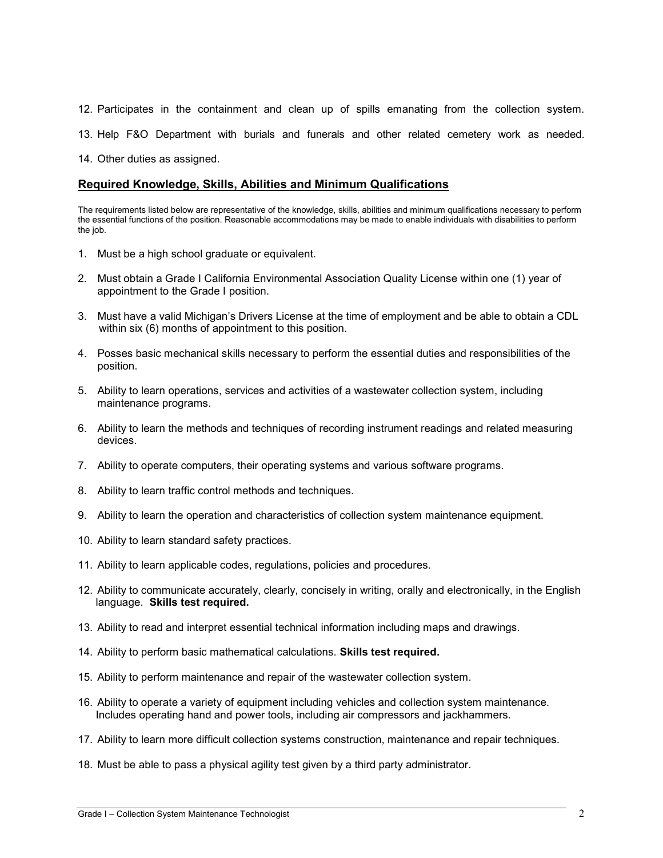12. Participates in the containment and clean up of spills emanating from the collection system.

13. Help F&O Department with burials and funerals and other related cemetery work as needed.

14. Other duties as assigned.

#### Required Knowledge, Skills, Abilities and Minimum Qualifications

The requirements listed below are representative of the knowledge, skills, abilities and minimum qualifications necessary to perform the essential functions of the position. Reasonable accommodations may be made to enable individuals with disabilities to perform the job.

- 1. Must be a high school graduate or equivalent.
- 2. Must obtain a Grade I California Environmental Association Quality License within one (1) year of appointment to the Grade I position.
- 3. Must have a valid Michigan's Drivers License at the time of employment and be able to obtain a CDL within six (6) months of appointment to this position.
- 4. Posses basic mechanical skills necessary to perform the essential duties and responsibilities of the position.
- 5. Ability to learn operations, services and activities of a wastewater collection system, including maintenance programs.
- 6. Ability to learn the methods and techniques of recording instrument readings and related measuring devices.
- 7. Ability to operate computers, their operating systems and various software programs.
- 8. Ability to learn traffic control methods and techniques.
- 9. Ability to learn the operation and characteristics of collection system maintenance equipment.
- 10. Ability to learn standard safety practices.
- 11. Ability to learn applicable codes, regulations, policies and procedures.
- 12. Ability to communicate accurately, clearly, concisely in writing, orally and electronically, in the English language. Skills test required.
- 13. Ability to read and interpret essential technical information including maps and drawings.
- 14. Ability to perform basic mathematical calculations. Skills test required.
- 15. Ability to perform maintenance and repair of the wastewater collection system.
- 16. Ability to operate a variety of equipment including vehicles and collection system maintenance. Includes operating hand and power tools, including air compressors and jackhammers.
- 17. Ability to learn more difficult collection systems construction, maintenance and repair techniques.
- 18. Must be able to pass a physical agility test given by a third party administrator.